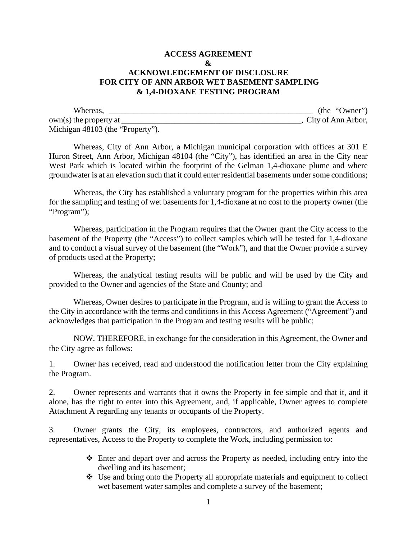## **ACCESS AGREEMENT**   $\mathbf{R}$ **ACKNOWLEDGEMENT OF DISCLOSURE FOR CITY OF ANN ARBOR WET BASEMENT SAMPLING & 1,4-DIOXANE TESTING PROGRAM**

| Whereas,                         | (the 'Owner')      |
|----------------------------------|--------------------|
| $own(s)$ the property at         | City of Ann Arbor, |
| Michigan 48103 (the "Property"). |                    |

Whereas, City of Ann Arbor, a Michigan municipal corporation with offices at 301 E Huron Street, Ann Arbor, Michigan 48104 (the "City"), has identified an area in the City near West Park which is located within the footprint of the Gelman 1,4-dioxane plume and where groundwater is at an elevation such that it could enter residential basements under some conditions;

Whereas, the City has established a voluntary program for the properties within this area for the sampling and testing of wet basements for 1,4-dioxane at no cost to the property owner (the "Program");

Whereas, participation in the Program requires that the Owner grant the City access to the basement of the Property (the "Access") to collect samples which will be tested for 1,4-dioxane and to conduct a visual survey of the basement (the "Work"), and that the Owner provide a survey of products used at the Property;

Whereas, the analytical testing results will be public and will be used by the City and provided to the Owner and agencies of the State and County; and

Whereas, Owner desires to participate in the Program, and is willing to grant the Access to the City in accordance with the terms and conditions in this Access Agreement ("Agreement") and acknowledges that participation in the Program and testing results will be public;

NOW, THEREFORE, in exchange for the consideration in this Agreement, the Owner and the City agree as follows:

1. Owner has received, read and understood the notification letter from the City explaining the Program.

2. Owner represents and warrants that it owns the Property in fee simple and that it, and it alone, has the right to enter into this Agreement, and, if applicable, Owner agrees to complete Attachment A regarding any tenants or occupants of the Property.

3. Owner grants the City, its employees, contractors, and authorized agents and representatives, Access to the Property to complete the Work, including permission to:

- Enter and depart over and across the Property as needed, including entry into the dwelling and its basement;
- Use and bring onto the Property all appropriate materials and equipment to collect wet basement water samples and complete a survey of the basement;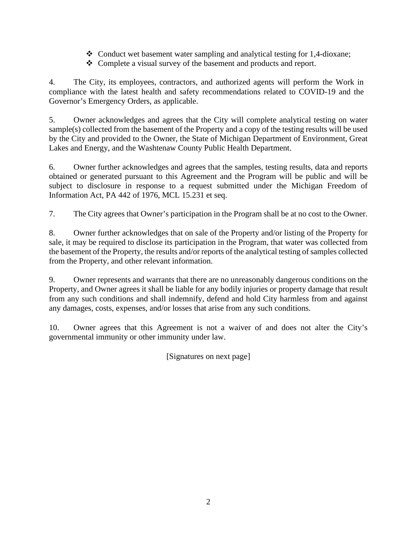- Conduct wet basement water sampling and analytical testing for 1,4-dioxane;
- Complete a visual survey of the basement and products and report.

4. The City, its employees, contractors, and authorized agents will perform the Work in compliance with the latest health and safety recommendations related to COVID-19 and the Governor's Emergency Orders, as applicable.

5. Owner acknowledges and agrees that the City will complete analytical testing on water sample(s) collected from the basement of the Property and a copy of the testing results will be used by the City and provided to the Owner, the State of Michigan Department of Environment, Great Lakes and Energy, and the Washtenaw County Public Health Department.

6. Owner further acknowledges and agrees that the samples, testing results, data and reports obtained or generated pursuant to this Agreement and the Program will be public and will be subject to disclosure in response to a request submitted under the Michigan Freedom of Information Act, PA 442 of 1976, MCL 15.231 et seq.

7. The City agrees that Owner's participation in the Program shall be at no cost to the Owner.

8. Owner further acknowledges that on sale of the Property and/or listing of the Property for sale, it may be required to disclose its participation in the Program, that water was collected from the basement of the Property, the results and/or reports of the analytical testing of samples collected from the Property, and other relevant information.

9. Owner represents and warrants that there are no unreasonably dangerous conditions on the Property, and Owner agrees it shall be liable for any bodily injuries or property damage that result from any such conditions and shall indemnify, defend and hold City harmless from and against any damages, costs, expenses, and/or losses that arise from any such conditions.

10. Owner agrees that this Agreement is not a waiver of and does not alter the City's governmental immunity or other immunity under law.

[Signatures on next page]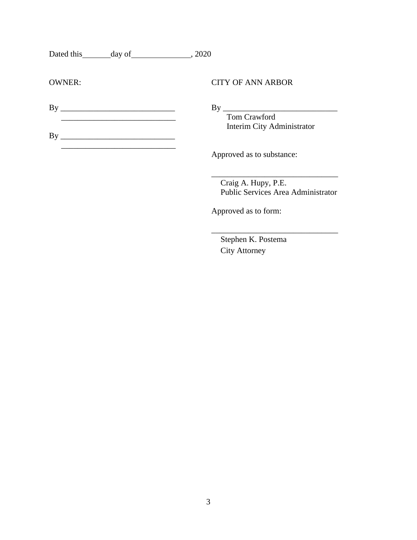| Dated this | day of | .2020 |
|------------|--------|-------|
|------------|--------|-------|

By \_\_\_\_\_\_\_\_\_\_\_\_\_\_\_\_\_\_\_\_\_\_\_\_\_\_\_\_  $\frac{1}{\sqrt{2}}$  ,  $\frac{1}{\sqrt{2}}$  ,  $\frac{1}{\sqrt{2}}$  ,  $\frac{1}{\sqrt{2}}$  ,  $\frac{1}{\sqrt{2}}$  ,  $\frac{1}{\sqrt{2}}$  ,  $\frac{1}{\sqrt{2}}$  ,  $\frac{1}{\sqrt{2}}$  ,  $\frac{1}{\sqrt{2}}$  ,  $\frac{1}{\sqrt{2}}$  ,  $\frac{1}{\sqrt{2}}$  ,  $\frac{1}{\sqrt{2}}$  ,  $\frac{1}{\sqrt{2}}$  ,  $\frac{1}{\sqrt{2}}$  ,  $\frac{1}{\sqrt{2}}$ 

OWNER: CITY OF ANN ARBOR

By \_\_\_\_\_\_\_\_\_\_\_\_\_\_\_\_\_\_\_\_\_\_\_\_\_\_\_\_ By \_\_\_\_\_\_\_\_\_\_\_\_\_\_\_\_\_\_\_\_\_\_\_\_\_\_\_\_ Interim City Administrator

Approved as to substance:

 Craig A. Hupy, P.E. Public Services Area Administrator

\_\_\_\_\_\_\_\_\_\_\_\_\_\_\_\_\_\_\_\_\_\_\_\_\_\_\_\_\_\_\_

\_\_\_\_\_\_\_\_\_\_\_\_\_\_\_\_\_\_\_\_\_\_\_\_\_\_\_\_\_\_\_

Approved as to form:

 Stephen K. Postema City Attorney